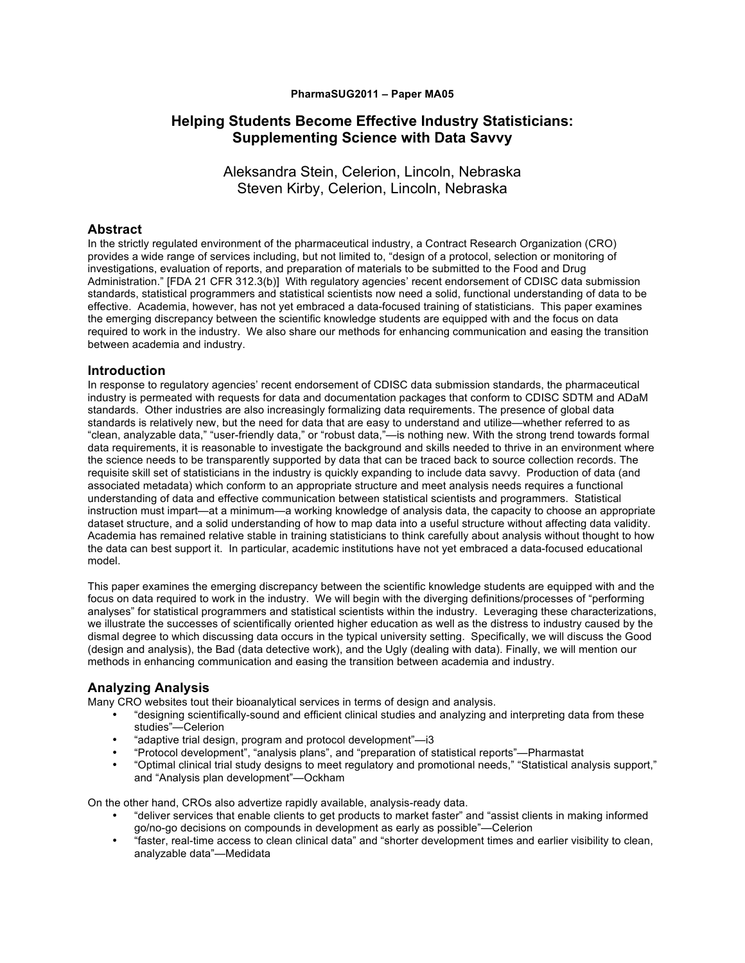#### **PharmaSUG2011 – Paper MA05**

# **Helping Students Become Effective Industry Statisticians: Supplementing Science with Data Savvy**

Aleksandra Stein, Celerion, Lincoln, Nebraska Steven Kirby, Celerion, Lincoln, Nebraska

## **Abstract**

In the strictly regulated environment of the pharmaceutical industry, a Contract Research Organization (CRO) provides a wide range of services including, but not limited to, "design of a protocol, selection or monitoring of investigations, evaluation of reports, and preparation of materials to be submitted to the Food and Drug Administration." [FDA 21 CFR 312.3(b)] With regulatory agencies' recent endorsement of CDISC data submission standards, statistical programmers and statistical scientists now need a solid, functional understanding of data to be effective. Academia, however, has not yet embraced a data-focused training of statisticians. This paper examines the emerging discrepancy between the scientific knowledge students are equipped with and the focus on data required to work in the industry. We also share our methods for enhancing communication and easing the transition between academia and industry.

### **Introduction**

In response to regulatory agencies' recent endorsement of CDISC data submission standards, the pharmaceutical industry is permeated with requests for data and documentation packages that conform to CDISC SDTM and ADaM standards. Other industries are also increasingly formalizing data requirements. The presence of global data standards is relatively new, but the need for data that are easy to understand and utilize—whether referred to as "clean, analyzable data," "user-friendly data," or "robust data,"—is nothing new. With the strong trend towards formal data requirements, it is reasonable to investigate the background and skills needed to thrive in an environment where the science needs to be transparently supported by data that can be traced back to source collection records. The requisite skill set of statisticians in the industry is quickly expanding to include data savvy. Production of data (and associated metadata) which conform to an appropriate structure and meet analysis needs requires a functional understanding of data and effective communication between statistical scientists and programmers. Statistical instruction must impart—at a minimum—a working knowledge of analysis data, the capacity to choose an appropriate dataset structure, and a solid understanding of how to map data into a useful structure without affecting data validity. Academia has remained relative stable in training statisticians to think carefully about analysis without thought to how the data can best support it. In particular, academic institutions have not yet embraced a data-focused educational model.

This paper examines the emerging discrepancy between the scientific knowledge students are equipped with and the focus on data required to work in the industry. We will begin with the diverging definitions/processes of "performing analyses" for statistical programmers and statistical scientists within the industry. Leveraging these characterizations, we illustrate the successes of scientifically oriented higher education as well as the distress to industry caused by the dismal degree to which discussing data occurs in the typical university setting. Specifically, we will discuss the Good (design and analysis), the Bad (data detective work), and the Ugly (dealing with data). Finally, we will mention our methods in enhancing communication and easing the transition between academia and industry.

### **Analyzing Analysis**

Many CRO websites tout their bioanalytical services in terms of design and analysis.

- "designing scientifically-sound and efficient clinical studies and analyzing and interpreting data from these studies"—Celerion
- "adaptive trial design, program and protocol development"—i3
- "Protocol development", "analysis plans", and "preparation of statistical reports"—Pharmastat
- "Optimal clinical trial study designs to meet regulatory and promotional needs," "Statistical analysis support," and "Analysis plan development"—Ockham

On the other hand, CROs also advertize rapidly available, analysis-ready data.

- "deliver services that enable clients to get products to market faster" and "assist clients in making informed go/no-go decisions on compounds in development as early as possible"—Celerion
- "faster, real-time access to clean clinical data" and "shorter development times and earlier visibility to clean, analyzable data"—Medidata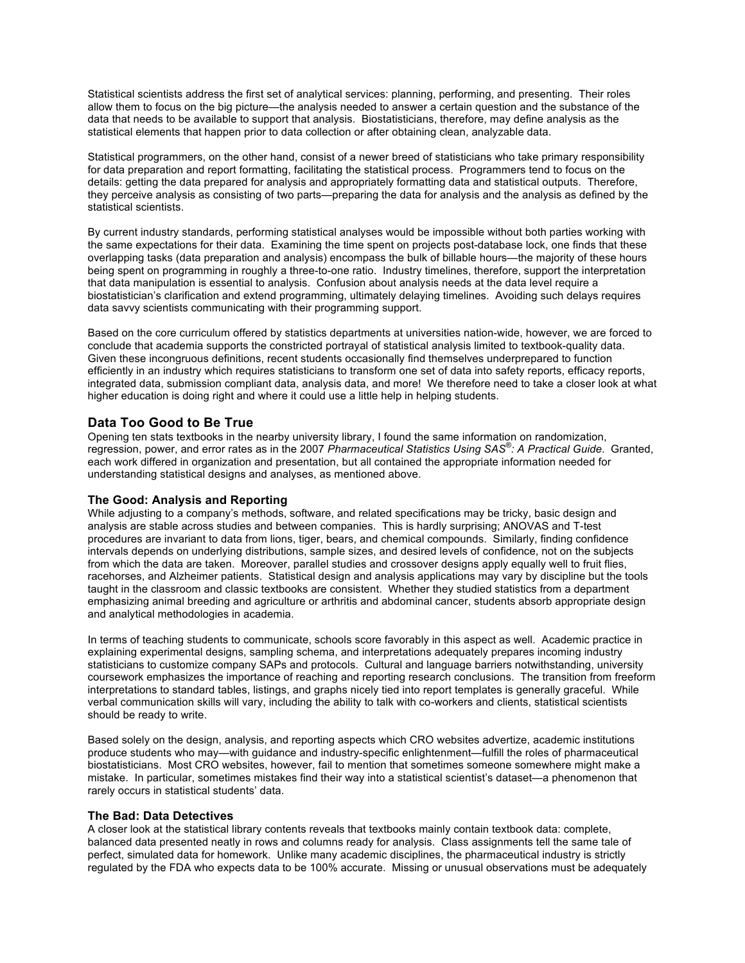Statistical scientists address the first set of analytical services: planning, performing, and presenting. Their roles allow them to focus on the big picture—the analysis needed to answer a certain question and the substance of the data that needs to be available to support that analysis. Biostatisticians, therefore, may define analysis as the statistical elements that happen prior to data collection or after obtaining clean, analyzable data.

Statistical programmers, on the other hand, consist of a newer breed of statisticians who take primary responsibility for data preparation and report formatting, facilitating the statistical process. Programmers tend to focus on the details: getting the data prepared for analysis and appropriately formatting data and statistical outputs. Therefore, they perceive analysis as consisting of two parts—preparing the data for analysis and the analysis as defined by the statistical scientists.

By current industry standards, performing statistical analyses would be impossible without both parties working with the same expectations for their data. Examining the time spent on projects post-database lock, one finds that these overlapping tasks (data preparation and analysis) encompass the bulk of billable hours—the majority of these hours being spent on programming in roughly a three-to-one ratio. Industry timelines, therefore, support the interpretation that data manipulation is essential to analysis. Confusion about analysis needs at the data level require a biostatistician's clarification and extend programming, ultimately delaying timelines. Avoiding such delays requires data savvy scientists communicating with their programming support.

Based on the core curriculum offered by statistics departments at universities nation-wide, however, we are forced to conclude that academia supports the constricted portrayal of statistical analysis limited to textbook-quality data. Given these incongruous definitions, recent students occasionally find themselves underprepared to function efficiently in an industry which requires statisticians to transform one set of data into safety reports, efficacy reports, integrated data, submission compliant data, analysis data, and more! We therefore need to take a closer look at what higher education is doing right and where it could use a little help in helping students.

### **Data Too Good to Be True**

Opening ten stats textbooks in the nearby university library, I found the same information on randomization, regression, power, and error rates as in the 2007 *Pharmaceutical Statistics Using SAS® : A Practical Guide*. Granted, each work differed in organization and presentation, but all contained the appropriate information needed for understanding statistical designs and analyses, as mentioned above.

#### **The Good: Analysis and Reporting**

While adjusting to a company's methods, software, and related specifications may be tricky, basic design and analysis are stable across studies and between companies. This is hardly surprising; ANOVAS and T-test procedures are invariant to data from lions, tiger, bears, and chemical compounds. Similarly, finding confidence intervals depends on underlying distributions, sample sizes, and desired levels of confidence, not on the subjects from which the data are taken. Moreover, parallel studies and crossover designs apply equally well to fruit flies, racehorses, and Alzheimer patients. Statistical design and analysis applications may vary by discipline but the tools taught in the classroom and classic textbooks are consistent. Whether they studied statistics from a department emphasizing animal breeding and agriculture or arthritis and abdominal cancer, students absorb appropriate design and analytical methodologies in academia.

In terms of teaching students to communicate, schools score favorably in this aspect as well. Academic practice in explaining experimental designs, sampling schema, and interpretations adequately prepares incoming industry statisticians to customize company SAPs and protocols. Cultural and language barriers notwithstanding, university coursework emphasizes the importance of reaching and reporting research conclusions. The transition from freeform interpretations to standard tables, listings, and graphs nicely tied into report templates is generally graceful. While verbal communication skills will vary, including the ability to talk with co-workers and clients, statistical scientists should be ready to write.

Based solely on the design, analysis, and reporting aspects which CRO websites advertize, academic institutions produce students who may—with guidance and industry-specific enlightenment—fulfill the roles of pharmaceutical biostatisticians. Most CRO websites, however, fail to mention that sometimes someone somewhere might make a mistake. In particular, sometimes mistakes find their way into a statistical scientist's dataset—a phenomenon that rarely occurs in statistical students' data.

#### **The Bad: Data Detectives**

A closer look at the statistical library contents reveals that textbooks mainly contain textbook data: complete, balanced data presented neatly in rows and columns ready for analysis. Class assignments tell the same tale of perfect, simulated data for homework. Unlike many academic disciplines, the pharmaceutical industry is strictly regulated by the FDA who expects data to be 100% accurate. Missing or unusual observations must be adequately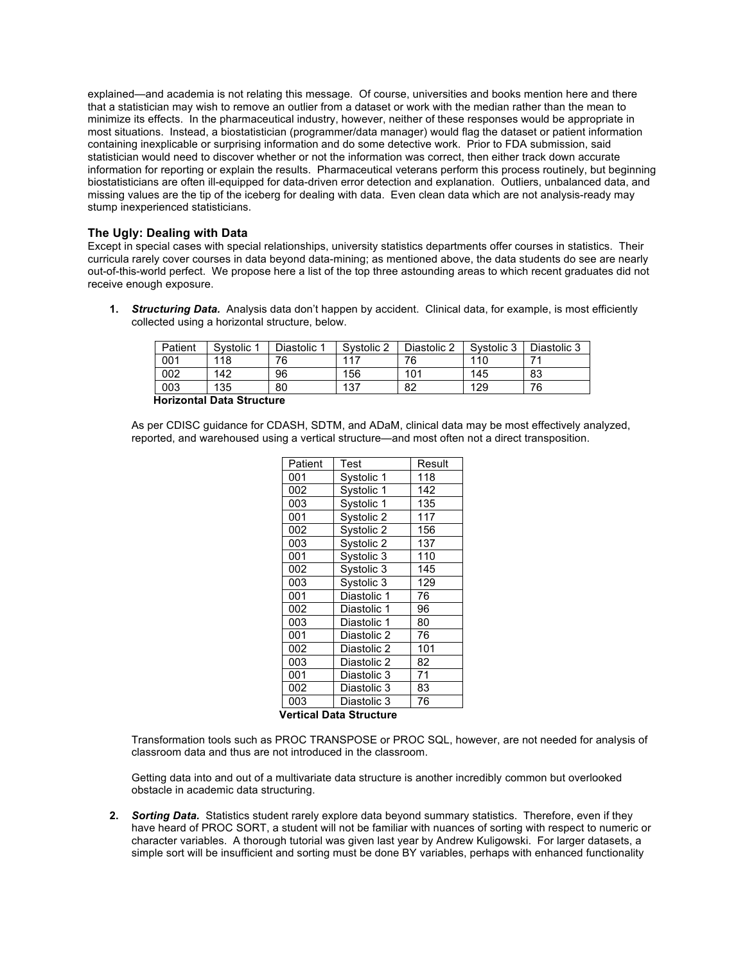explained—and academia is not relating this message. Of course, universities and books mention here and there that a statistician may wish to remove an outlier from a dataset or work with the median rather than the mean to minimize its effects. In the pharmaceutical industry, however, neither of these responses would be appropriate in most situations. Instead, a biostatistician (programmer/data manager) would flag the dataset or patient information containing inexplicable or surprising information and do some detective work. Prior to FDA submission, said statistician would need to discover whether or not the information was correct, then either track down accurate information for reporting or explain the results. Pharmaceutical veterans perform this process routinely, but beginning biostatisticians are often ill-equipped for data-driven error detection and explanation. Outliers, unbalanced data, and missing values are the tip of the iceberg for dealing with data. Even clean data which are not analysis-ready may stump inexperienced statisticians.

#### **The Ugly: Dealing with Data**

Except in special cases with special relationships, university statistics departments offer courses in statistics. Their curricula rarely cover courses in data beyond data-mining; as mentioned above, the data students do see are nearly out-of-this-world perfect. We propose here a list of the top three astounding areas to which recent graduates did not receive enough exposure.

**1.** *Structuring Data.* Analysis data don't happen by accident. Clinical data, for example, is most efficiently collected using a horizontal structure, below.

|            |    |     |     | Systolic 3 | Diastolic 3 |
|------------|----|-----|-----|------------|-------------|
| 001<br>118 | 76 | 117 | 76  | 110        |             |
| 002<br>142 | 96 | 156 | 101 | 145        | 83          |
| 003<br>135 | 80 | 137 | 82  | 129        | 76          |

**Horizontal Data Structure**

As per CDISC guidance for CDASH, SDTM, and ADaM, clinical data may be most effectively analyzed, reported, and warehoused using a vertical structure—and most often not a direct transposition.

| Patient | Test        | Result |  |
|---------|-------------|--------|--|
| 001     | Systolic 1  | 118    |  |
| 002     | Systolic 1  | 142    |  |
| 003     | Systolic 1  | 135    |  |
| 001     | Systolic 2  | 117    |  |
| 002     | Systolic 2  | 156    |  |
| 003     | Systolic 2  | 137    |  |
| 001     | Systolic 3  | 110    |  |
| 002     | Systolic 3  | 145    |  |
| 003     | Systolic 3  | 129    |  |
| 001     | Diastolic 1 | 76     |  |
| 002     | Diastolic 1 | 96     |  |
| 003     | Diastolic 1 | 80     |  |
| 001     | Diastolic 2 | 76     |  |
| 002     | Diastolic 2 | 101    |  |
| 003     | Diastolic 2 | 82     |  |
| 001     | Diastolic 3 | 71     |  |
| 002     | Diastolic 3 | 83     |  |
| 003     | Diastolic 3 | 76     |  |

#### **Vertical Data Structure**

Transformation tools such as PROC TRANSPOSE or PROC SQL, however, are not needed for analysis of classroom data and thus are not introduced in the classroom.

Getting data into and out of a multivariate data structure is another incredibly common but overlooked obstacle in academic data structuring.

**2.** *Sorting Data.* Statistics student rarely explore data beyond summary statistics. Therefore, even if they have heard of PROC SORT, a student will not be familiar with nuances of sorting with respect to numeric or character variables. A thorough tutorial was given last year by Andrew Kuligowski. For larger datasets, a simple sort will be insufficient and sorting must be done BY variables, perhaps with enhanced functionality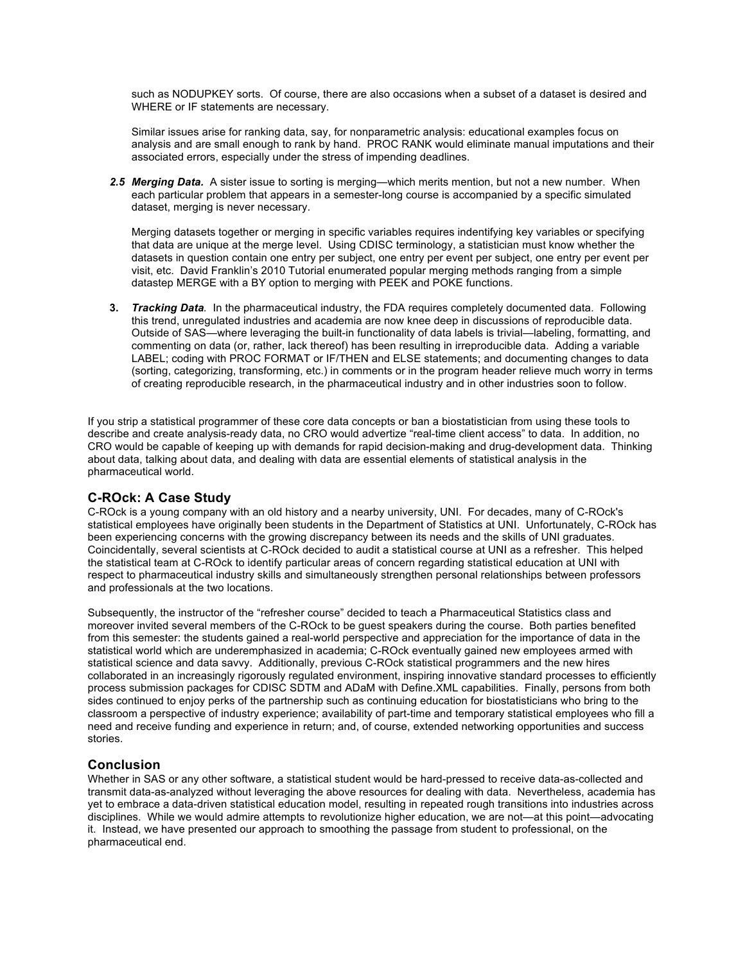such as NODUPKEY sorts. Of course, there are also occasions when a subset of a dataset is desired and WHERE or IF statements are necessary.

Similar issues arise for ranking data, say, for nonparametric analysis: educational examples focus on analysis and are small enough to rank by hand. PROC RANK would eliminate manual imputations and their associated errors, especially under the stress of impending deadlines.

*2.5 Merging Data.* A sister issue to sorting is merging—which merits mention, but not a new number.When each particular problem that appears in a semester-long course is accompanied by a specific simulated dataset, merging is never necessary.

Merging datasets together or merging in specific variables requires indentifying key variables or specifying that data are unique at the merge level. Using CDISC terminology, a statistician must know whether the datasets in question contain one entry per subject, one entry per event per subject, one entry per event per visit, etc. David Franklin's 2010 Tutorial enumerated popular merging methods ranging from a simple datastep MERGE with a BY option to merging with PEEK and POKE functions.

**3.** *Tracking Data.* In the pharmaceutical industry, the FDA requires completely documented data. Following this trend, unregulated industries and academia are now knee deep in discussions of reproducible data. Outside of SAS—where leveraging the built-in functionality of data labels is trivial—labeling, formatting, and commenting on data (or, rather, lack thereof) has been resulting in irreproducible data. Adding a variable LABEL; coding with PROC FORMAT or IF/THEN and ELSE statements; and documenting changes to data (sorting, categorizing, transforming, etc.) in comments or in the program header relieve much worry in terms of creating reproducible research, in the pharmaceutical industry and in other industries soon to follow.

If you strip a statistical programmer of these core data concepts or ban a biostatistician from using these tools to describe and create analysis-ready data, no CRO would advertize "real-time client access" to data. In addition, no CRO would be capable of keeping up with demands for rapid decision-making and drug-development data. Thinking about data, talking about data, and dealing with data are essential elements of statistical analysis in the pharmaceutical world.

### **C-ROck: A Case Study**

C-ROck is a young company with an old history and a nearby university, UNI. For decades, many of C-ROck's statistical employees have originally been students in the Department of Statistics at UNI. Unfortunately, C-ROck has been experiencing concerns with the growing discrepancy between its needs and the skills of UNI graduates. Coincidentally, several scientists at C-ROck decided to audit a statistical course at UNI as a refresher. This helped the statistical team at C-ROck to identify particular areas of concern regarding statistical education at UNI with respect to pharmaceutical industry skills and simultaneously strengthen personal relationships between professors and professionals at the two locations.

Subsequently, the instructor of the "refresher course" decided to teach a Pharmaceutical Statistics class and moreover invited several members of the C-ROck to be guest speakers during the course. Both parties benefited from this semester: the students gained a real-world perspective and appreciation for the importance of data in the statistical world which are underemphasized in academia; C-ROck eventually gained new employees armed with statistical science and data savvy. Additionally, previous C-ROck statistical programmers and the new hires collaborated in an increasingly rigorously regulated environment, inspiring innovative standard processes to efficiently process submission packages for CDISC SDTM and ADaM with Define.XML capabilities. Finally, persons from both sides continued to enjoy perks of the partnership such as continuing education for biostatisticians who bring to the classroom a perspective of industry experience; availability of part-time and temporary statistical employees who fill a need and receive funding and experience in return; and, of course, extended networking opportunities and success stories.

### **Conclusion**

Whether in SAS or any other software, a statistical student would be hard-pressed to receive data-as-collected and transmit data-as-analyzed without leveraging the above resources for dealing with data. Nevertheless, academia has yet to embrace a data-driven statistical education model, resulting in repeated rough transitions into industries across disciplines. While we would admire attempts to revolutionize higher education, we are not—at this point—advocating it. Instead, we have presented our approach to smoothing the passage from student to professional, on the pharmaceutical end.